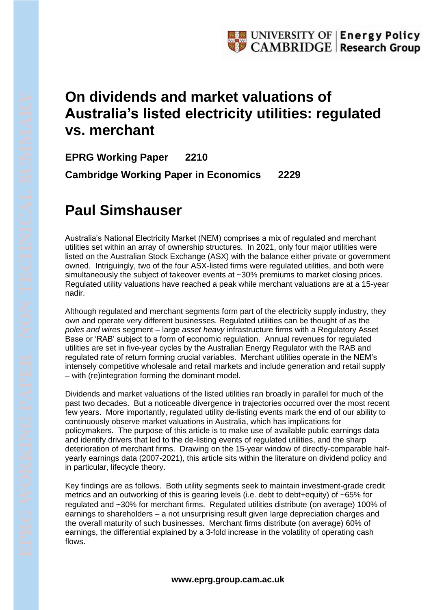## **On dividends and market valuations of Australia's listed electricity utilities: regulated vs. merchant**

**EPRG Working Paper 2210 Cambridge Working Paper in Economics 2229**

## **Paul Simshauser**

Australia's National Electricity Market (NEM) comprises a mix of regulated and merchant utilities set within an array of ownership structures. In 2021, only four major utilities were listed on the Australian Stock Exchange (ASX) with the balance either private or government owned. Intriguingly, two of the four ASX-listed firms were regulated utilities, and both were simultaneously the subject of takeover events at ~30% premiums to market closing prices. Regulated utility valuations have reached a peak while merchant valuations are at a 15-year nadir.

Although regulated and merchant segments form part of the electricity supply industry, they own and operate very different businesses. Regulated utilities can be thought of as the *poles and wires* segment – large *asset heavy* infrastructure firms with a Regulatory Asset Base or 'RAB' subject to a form of economic regulation. Annual revenues for regulated utilities are set in five-year cycles by the Australian Energy Regulator with the RAB and regulated rate of return forming crucial variables. Merchant utilities operate in the NEM's intensely competitive wholesale and retail markets and include generation and retail supply – with (re)integration forming the dominant model.

Dividends and market valuations of the listed utilities ran broadly in parallel for much of the past two decades. But a noticeable divergence in trajectories occurred over the most recent few years. More importantly, regulated utility de-listing events mark the end of our ability to continuously observe market valuations in Australia, which has implications for policymakers. The purpose of this article is to make use of available public earnings data and identify drivers that led to the de-listing events of regulated utilities, and the sharp deterioration of merchant firms. Drawing on the 15-year window of directly-comparable halfyearly earnings data (2007-2021), this article sits within the literature on dividend policy and in particular, lifecycle theory.

Key findings are as follows. Both utility segments seek to maintain investment-grade credit metrics and an outworking of this is gearing levels (i.e. debt to debt+equity) of ~65% for regulated and ~30% for merchant firms. Regulated utilities distribute (on average) 100% of earnings to shareholders – a not unsurprising result given large depreciation charges and the overall maturity of such businesses. Merchant firms distribute (on average) 60% of earnings, the differential explained by a 3-fold increase in the volatility of operating cash flows.